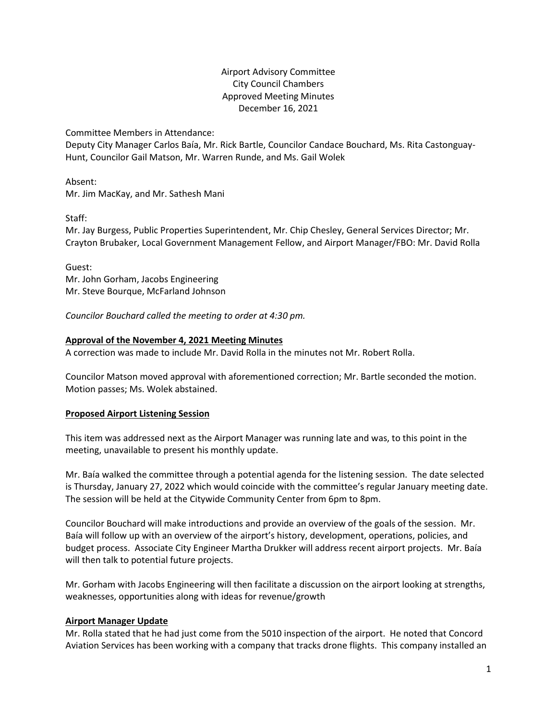# Airport Advisory Committee City Council Chambers Approved Meeting Minutes December 16, 2021

Committee Members in Attendance:

Deputy City Manager Carlos Baía, Mr. Rick Bartle, Councilor Candace Bouchard, Ms. Rita Castonguay-Hunt, Councilor Gail Matson, Mr. Warren Runde, and Ms. Gail Wolek

Absent: Mr. Jim MacKay, and Mr. Sathesh Mani

Staff:

Mr. Jay Burgess, Public Properties Superintendent, Mr. Chip Chesley, General Services Director; Mr. Crayton Brubaker, Local Government Management Fellow, and Airport Manager/FBO: Mr. David Rolla

Guest: Mr. John Gorham, Jacobs Engineering Mr. Steve Bourque, McFarland Johnson

*Councilor Bouchard called the meeting to order at 4:30 pm.*

## **Approval of the November 4, 2021 Meeting Minutes**

A correction was made to include Mr. David Rolla in the minutes not Mr. Robert Rolla.

Councilor Matson moved approval with aforementioned correction; Mr. Bartle seconded the motion. Motion passes; Ms. Wolek abstained.

## **Proposed Airport Listening Session**

This item was addressed next as the Airport Manager was running late and was, to this point in the meeting, unavailable to present his monthly update.

Mr. Baía walked the committee through a potential agenda for the listening session. The date selected is Thursday, January 27, 2022 which would coincide with the committee's regular January meeting date. The session will be held at the Citywide Community Center from 6pm to 8pm.

Councilor Bouchard will make introductions and provide an overview of the goals of the session. Mr. Baía will follow up with an overview of the airport's history, development, operations, policies, and budget process. Associate City Engineer Martha Drukker will address recent airport projects. Mr. Baía will then talk to potential future projects.

Mr. Gorham with Jacobs Engineering will then facilitate a discussion on the airport looking at strengths, weaknesses, opportunities along with ideas for revenue/growth

## **Airport Manager Update**

Mr. Rolla stated that he had just come from the 5010 inspection of the airport. He noted that Concord Aviation Services has been working with a company that tracks drone flights. This company installed an